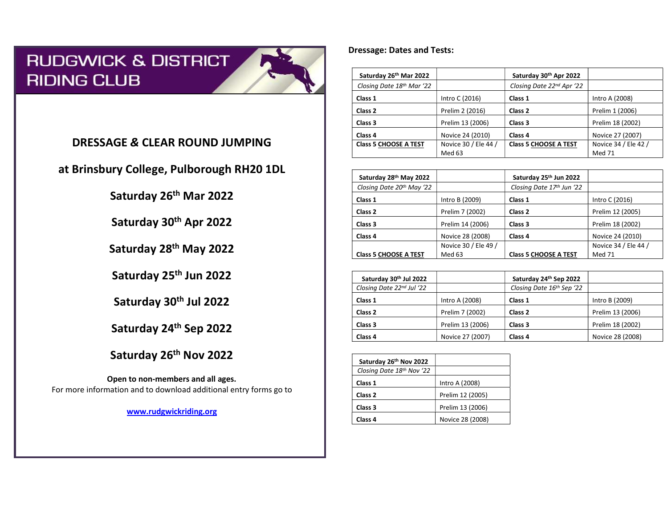# **RUDGWICK & DISTRICT RIDING CLUB**



## DRESSAGE & CLEAR ROUND JUMPING

at Brinsbury College, Pulborough RH20 1DL

Saturday 26th Mar 2022

Saturday 30th Apr 2022

Saturday 28th May 2022

Saturday 25<sup>th</sup> Jun 2022

Saturday 30<sup>th</sup> Jul 2022

Saturday 24th Sep 2022

Saturday 26<sup>th</sup> Nov 2022

Open to non-members and all ages. For more information and to download additional entry forms go to

www.rudgwickriding.org

### Dressage: Dates and Tests:

| Saturday 26th Mar 2022       |                      | Saturday 30th Apr 2022       |                      |
|------------------------------|----------------------|------------------------------|----------------------|
| Closing Date 18th Mar '22    |                      | Closing Date 22nd Apr '22    |                      |
| Class 1                      | Intro C (2016)       | Class 1                      | Intro A (2008)       |
| Class 2                      | Prelim 2 (2016)      | Class <sub>2</sub>           | Prelim 1 (2006)      |
| Class 3                      | Prelim 13 (2006)     | Class 3                      | Prelim 18 (2002)     |
| Class 4                      | Novice 24 (2010)     | Class 4                      | Novice 27 (2007)     |
| <b>Class 5 CHOOSE A TEST</b> | Novice 30 / Ele 44 / | <b>Class 5 CHOOSE A TEST</b> | Novice 34 / Ele 42 / |
|                              | Med 63               |                              | Med 71               |

| Saturday 28th May 2022                |                      | Saturday 25th Jun 2022       |                      |
|---------------------------------------|----------------------|------------------------------|----------------------|
| Closing Date 20 <sup>th</sup> May '22 |                      | Closing Date 17th Jun '22    |                      |
| Class 1                               | Intro B (2009)       | Class 1                      | Intro C (2016)       |
| Class <sub>2</sub>                    | Prelim 7 (2002)      | Class 2                      | Prelim 12 (2005)     |
| Class 3                               | Prelim 14 (2006)     | Class 3                      | Prelim 18 (2002)     |
| Class 4                               | Novice 28 (2008)     | Class 4                      | Novice 24 (2010)     |
|                                       | Novice 30 / Ele 49 / |                              | Novice 34 / Ele 44 / |
| <b>Class 5 CHOOSE A TEST</b>          | Med 63               | <b>Class 5 CHOOSE A TEST</b> | Med 71               |

| Saturday 30th Jul 2022    |                  | Saturday 24th Sep 2022    |                  |
|---------------------------|------------------|---------------------------|------------------|
| Closing Date 22nd Jul '22 |                  | Closing Date 16th Sep '22 |                  |
| Class 1                   | Intro A (2008)   | Class 1                   | Intro B (2009)   |
| Class <sub>2</sub>        | Prelim 7 (2002)  | Class <sub>2</sub>        | Prelim 13 (2006) |
| Class <sub>3</sub>        | Prelim 13 (2006) | Class 3                   | Prelim 18 (2002) |
| Class <sub>4</sub>        | Novice 27 (2007) | Class <sub>4</sub>        | Novice 28 (2008) |

| Saturday 26th Nov 2022    |                  |
|---------------------------|------------------|
| Closing Date 18th Nov '22 |                  |
| Class 1                   | Intro A (2008)   |
| Class <sub>2</sub>        | Prelim 12 (2005) |
| Class 3                   | Prelim 13 (2006) |
| Class 4                   | Novice 28 (2008) |